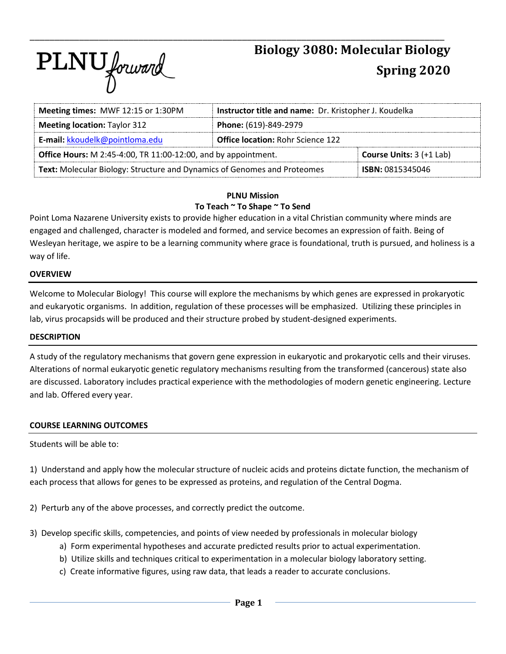# PLNU forward

# **Biology 3080: Molecular Biology Spring 2020**

| Meeting times: MWF 12:15 or 1:30PM                                       | Instructor title and name: Dr. Kristopher J. Koudelka |  |  |  |  |
|--------------------------------------------------------------------------|-------------------------------------------------------|--|--|--|--|
| <b>Meeting location: Taylor 312</b>                                      | Phone: (619)-849-2979                                 |  |  |  |  |
| E-mail: kkoudelk@pointloma.edu                                           | <b>Office location: Rohr Science 122</b>              |  |  |  |  |
| Office Hours: M 2:45-4:00, TR 11:00-12:00, and by appointment.           | <b>Course Units:</b> $3 (+1$ Lab)                     |  |  |  |  |
| Text: Molecular Biology: Structure and Dynamics of Genomes and Proteomes | <b>ISBN: 0815345046</b>                               |  |  |  |  |

\_\_\_\_\_\_\_\_\_\_\_\_\_\_\_\_\_\_\_\_\_\_\_\_\_\_\_\_\_\_\_\_\_\_\_\_\_\_\_\_\_\_\_\_\_\_\_\_\_\_\_\_\_\_\_\_\_\_\_\_\_\_\_\_\_\_\_\_\_\_\_\_\_\_\_\_\_\_\_\_\_\_\_\_

#### **PLNU Mission To Teach ~ To Shape ~ To Send**

Point Loma Nazarene University exists to provide higher education in a vital Christian community where minds are engaged and challenged, character is modeled and formed, and service becomes an expression of faith. Being of Wesleyan heritage, we aspire to be a learning community where grace is foundational, truth is pursued, and holiness is a way of life.

## **OVERVIEW**

Welcome to Molecular Biology! This course will explore the mechanisms by which genes are expressed in prokaryotic and eukaryotic organisms. In addition, regulation of these processes will be emphasized. Utilizing these principles in lab, virus procapsids will be produced and their structure probed by student-designed experiments.

#### **DESCRIPTION**

A study of the regulatory mechanisms that govern gene expression in eukaryotic and prokaryotic cells and their viruses. Alterations of normal eukaryotic genetic regulatory mechanisms resulting from the transformed (cancerous) state also are discussed. Laboratory includes practical experience with the methodologies of modern genetic engineering. Lecture and lab. Offered every year.

## **COURSE LEARNING OUTCOMES**

Students will be able to:

1) Understand and apply how the molecular structure of nucleic acids and proteins dictate function, the mechanism of each process that allows for genes to be expressed as proteins, and regulation of the Central Dogma.

2) Perturb any of the above processes, and correctly predict the outcome.

- 3) Develop specific skills, competencies, and points of view needed by professionals in molecular biology
	- a) Form experimental hypotheses and accurate predicted results prior to actual experimentation.
	- b) Utilize skills and techniques critical to experimentation in a molecular biology laboratory setting.
	- c) Create informative figures, using raw data, that leads a reader to accurate conclusions.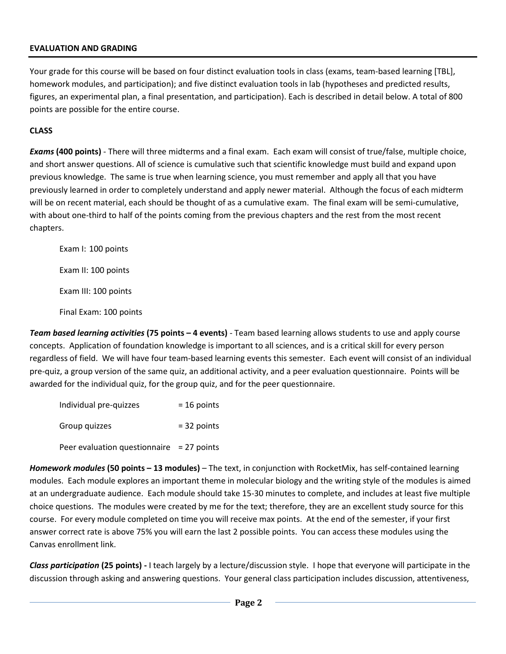#### **EVALUATION AND GRADING**

Your grade for this course will be based on four distinct evaluation tools in class (exams, team-based learning [TBL], homework modules, and participation); and five distinct evaluation tools in lab (hypotheses and predicted results, figures, an experimental plan, a final presentation, and participation). Each is described in detail below. A total of 800 points are possible for the entire course.

## **CLASS**

*Exams* **(400 points)** - There will three midterms and a final exam. Each exam will consist of true/false, multiple choice, and short answer questions. All of science is cumulative such that scientific knowledge must build and expand upon previous knowledge. The same is true when learning science, you must remember and apply all that you have previously learned in order to completely understand and apply newer material. Although the focus of each midterm will be on recent material, each should be thought of as a cumulative exam. The final exam will be semi-cumulative, with about one-third to half of the points coming from the previous chapters and the rest from the most recent chapters.

Exam I: 100 points Exam II: 100 points Exam III: 100 points Final Exam: 100 points

*Team based learning activities* **(75 points – 4 events)** - Team based learning allows students to use and apply course concepts. Application of foundation knowledge is important to all sciences, and is a critical skill for every person regardless of field. We will have four team-based learning events this semester. Each event will consist of an individual pre-quiz, a group version of the same quiz, an additional activity, and a peer evaluation questionnaire. Points will be awarded for the individual quiz, for the group quiz, and for the peer questionnaire.

| Individual pre-quizzes                       | $= 16$ points |  |  |  |
|----------------------------------------------|---------------|--|--|--|
| Group quizzes                                | $=$ 32 points |  |  |  |
| Peer evaluation question naire $= 27$ points |               |  |  |  |

*Homework modules* **(50 points – 13 modules)** – The text, in conjunction with RocketMix, has self-contained learning modules. Each module explores an important theme in molecular biology and the writing style of the modules is aimed at an undergraduate audience. Each module should take 15-30 minutes to complete, and includes at least five multiple choice questions. The modules were created by me for the text; therefore, they are an excellent study source for this course. For every module completed on time you will receive max points. At the end of the semester, if your first answer correct rate is above 75% you will earn the last 2 possible points. You can access these modules using the Canvas enrollment link.

*Class participation* **(25 points) -** I teach largely by a lecture/discussion style. I hope that everyone will participate in the discussion through asking and answering questions. Your general class participation includes discussion, attentiveness,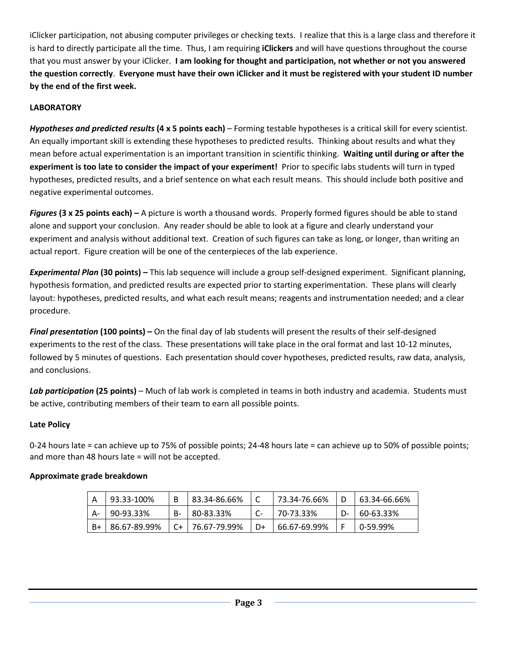iClicker participation, not abusing computer privileges or checking texts. I realize that this is a large class and therefore it is hard to directly participate all the time. Thus, I am requiring **iClickers** and will have questions throughout the course that you must answer by your iClicker. **I am looking for thought and participation, not whether or not you answered the question correctly**. **Everyone must have their own iClicker and it must be registered with your student ID number by the end of the first week.**

# **LABORATORY**

*Hypotheses and predicted results* **(4 x 5 points each)** – Forming testable hypotheses is a critical skill for every scientist. An equally important skill is extending these hypotheses to predicted results. Thinking about results and what they mean before actual experimentation is an important transition in scientific thinking. **Waiting until during or after the experiment is too late to consider the impact of your experiment!** Prior to specific labs students will turn in typed hypotheses, predicted results, and a brief sentence on what each result means. This should include both positive and negative experimental outcomes.

*Figures* **(3 x 25 points each) –** A picture is worth a thousand words. Properly formed figures should be able to stand alone and support your conclusion. Any reader should be able to look at a figure and clearly understand your experiment and analysis without additional text. Creation of such figures can take as long, or longer, than writing an actual report. Figure creation will be one of the centerpieces of the lab experience.

*Experimental Plan* **(30 points) –** This lab sequence will include a group self-designed experiment. Significant planning, hypothesis formation, and predicted results are expected prior to starting experimentation. These plans will clearly layout: hypotheses, predicted results, and what each result means; reagents and instrumentation needed; and a clear procedure.

*Final presentation* **(100 points) –** On the final day of lab students will present the results of their self-designed experiments to the rest of the class. These presentations will take place in the oral format and last 10-12 minutes, followed by 5 minutes of questions. Each presentation should cover hypotheses, predicted results, raw data, analysis, and conclusions.

Lab participation (25 points) – Much of lab work is completed in teams in both industry and academia. Students must be active, contributing members of their team to earn all possible points.

# **Late Policy**

0-24 hours late = can achieve up to 75% of possible points; 24-48 hours late = can achieve up to 50% of possible points; and more than 48 hours late = will not be accepted.

# **Approximate grade breakdown**

|    | 93.33-100%   |    | 83.34-86.66% |    | 73.34-76.66% | 63.34-66.66% |
|----|--------------|----|--------------|----|--------------|--------------|
| А- | 90-93.33%    | B- | 80-83.33%    |    | 70-73.33%    | 60-63.33%    |
|    | 86.67-89.99% | C+ | 76.67-79.99% | D+ | 66.67-69.99% | 0-59.99%     |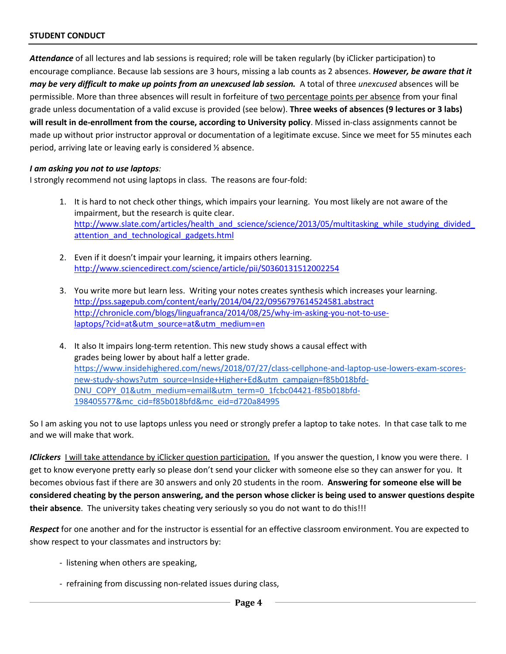*Attendance* of all lectures and lab sessions is required; role will be taken regularly (by iClicker participation) to encourage compliance. Because lab sessions are 3 hours, missing a lab counts as 2 absences. *However, be aware that it may be very difficult to make up points from an unexcused lab session.* A total of three *unexcused* absences will be permissible. More than three absences will result in forfeiture of two percentage points per absence from your final grade unless documentation of a valid excuse is provided (see below). **Three weeks of absences (9 lectures or 3 labs) will result in de-enrollment from the course, according to University policy**. Missed in-class assignments cannot be made up without prior instructor approval or documentation of a legitimate excuse. Since we meet for 55 minutes each period, arriving late or leaving early is considered ½ absence.

#### *I am asking you not to use laptops:*

I strongly recommend not using laptops in class. The reasons are four-fold:

- 1. It is hard to not check other things, which impairs your learning. You most likely are not aware of the impairment, but the research is quite clear. http://www.slate.com/articles/health\_and\_science/science/2013/05/multitasking\_while\_studying\_divided attention and technological gadgets.html
- 2. Even if it doesn't impair your learning, it impairs others learning. <http://www.sciencedirect.com/science/article/pii/S0360131512002254>
- 3. You write more but learn less. Writing your notes creates synthesis which increases your learning. <http://pss.sagepub.com/content/early/2014/04/22/0956797614524581.abstract> [http://chronicle.com/blogs/linguafranca/2014/08/25/why-im-asking-you-not-to-use](http://chronicle.com/blogs/linguafranca/2014/08/25/why-im-asking-you-not-to-use-laptops/?cid=at&utm_source=at&utm_medium=en)[laptops/?cid=at&utm\\_source=at&utm\\_medium=en](http://chronicle.com/blogs/linguafranca/2014/08/25/why-im-asking-you-not-to-use-laptops/?cid=at&utm_source=at&utm_medium=en)
- 4. It also It impairs long-term retention. This new study shows a causal effect with grades being lower by about half a letter grade. [https://www.insidehighered.com/news/2018/07/27/class-cellphone-and-laptop-use-lowers-exam-scores](https://www.insidehighered.com/news/2018/07/27/class-cellphone-and-laptop-use-lowers-exam-scores-new-study-shows?utm_source=Inside+Higher+Ed&utm_campaign=f85b018bfd-DNU_COPY_01&utm_medium=email&utm_term=0_1fcbc04421-f85b018bfd-198405577&mc_cid=f85b018bfd&mc_eid=d720a84995)[new-study-shows?utm\\_source=Inside+Higher+Ed&utm\\_campaign=f85b018bfd-](https://www.insidehighered.com/news/2018/07/27/class-cellphone-and-laptop-use-lowers-exam-scores-new-study-shows?utm_source=Inside+Higher+Ed&utm_campaign=f85b018bfd-DNU_COPY_01&utm_medium=email&utm_term=0_1fcbc04421-f85b018bfd-198405577&mc_cid=f85b018bfd&mc_eid=d720a84995)[DNU\\_COPY\\_01&utm\\_medium=email&utm\\_term=0\\_1fcbc04421-f85b018bfd-](https://www.insidehighered.com/news/2018/07/27/class-cellphone-and-laptop-use-lowers-exam-scores-new-study-shows?utm_source=Inside+Higher+Ed&utm_campaign=f85b018bfd-DNU_COPY_01&utm_medium=email&utm_term=0_1fcbc04421-f85b018bfd-198405577&mc_cid=f85b018bfd&mc_eid=d720a84995)[198405577&mc\\_cid=f85b018bfd&mc\\_eid=d720a84995](https://www.insidehighered.com/news/2018/07/27/class-cellphone-and-laptop-use-lowers-exam-scores-new-study-shows?utm_source=Inside+Higher+Ed&utm_campaign=f85b018bfd-DNU_COPY_01&utm_medium=email&utm_term=0_1fcbc04421-f85b018bfd-198405577&mc_cid=f85b018bfd&mc_eid=d720a84995)

So I am asking you not to use laptops unless you need or strongly prefer a laptop to take notes. In that case talk to me and we will make that work.

*IClickers* I will take attendance by iClicker question participation. If you answer the question, I know you were there. I get to know everyone pretty early so please don't send your clicker with someone else so they can answer for you. It becomes obvious fast if there are 30 answers and only 20 students in the room. **Answering for someone else will be considered cheating by the person answering, and the person whose clicker is being used to answer questions despite their absence**. The university takes cheating very seriously so you do not want to do this!!!

*Respect* for one another and for the instructor is essential for an effective classroom environment. You are expected to show respect to your classmates and instructors by:

- listening when others are speaking,
- refraining from discussing non-related issues during class,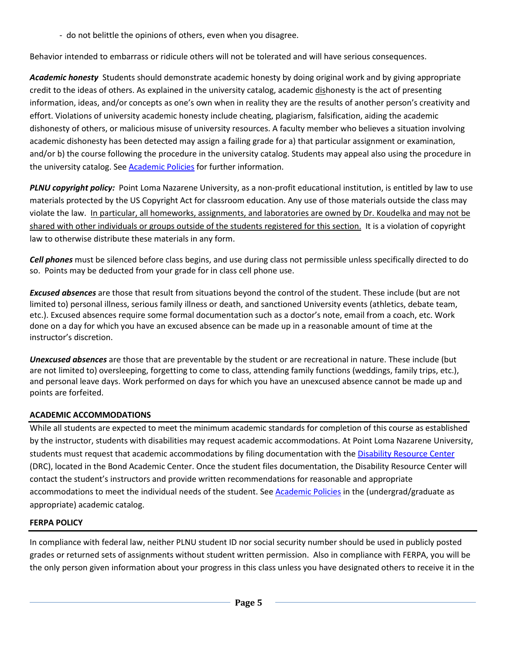- do not belittle the opinions of others, even when you disagree.

Behavior intended to embarrass or ridicule others will not be tolerated and will have serious consequences.

*Academic honesty* Students should demonstrate academic honesty by doing original work and by giving appropriate credit to the ideas of others. As explained in the university catalog, academic dishonesty is the act of presenting information, ideas, and/or concepts as one's own when in reality they are the results of another person's creativity and effort. Violations of university academic honesty include cheating, plagiarism, falsification, aiding the academic dishonesty of others, or malicious misuse of university resources. A faculty member who believes a situation involving academic dishonesty has been detected may assign a failing grade for a) that particular assignment or examination, and/or b) the course following the procedure in the university catalog. Students may appeal also using the procedure in the university catalog. See **Academic Policies** for further information.

*PLNU copyright policy:* Point Loma Nazarene University, as a non-profit educational institution, is entitled by law to use materials protected by the US Copyright Act for classroom education. Any use of those materials outside the class may violate the law. *In particular, all homeworks, assignments, and laboratories are owned by Dr. Koudelka and may not be* shared with other individuals or groups outside of the students registered for this section. It is a violation of copyright law to otherwise distribute these materials in any form.

*Cell phones* must be silenced before class begins, and use during class not permissible unless specifically directed to do so. Points may be deducted from your grade for in class cell phone use.

*Excused absences* are those that result from situations beyond the control of the student. These include (but are not limited to) personal illness, serious family illness or death, and sanctioned University events (athletics, debate team, etc.). Excused absences require some formal documentation such as a doctor's note, email from a coach, etc. Work done on a day for which you have an excused absence can be made up in a reasonable amount of time at the instructor's discretion.

*Unexcused absences* are those that are preventable by the student or are recreational in nature. These include (but are not limited to) oversleeping, forgetting to come to class, attending family functions (weddings, family trips, etc.), and personal leave days. Work performed on days for which you have an unexcused absence cannot be made up and points are forfeited.

# **ACADEMIC ACCOMMODATIONS**

While all students are expected to meet the minimum academic standards for completion of this course as established by the instructor, students with disabilities may request academic accommodations. At Point Loma Nazarene University, students must request that academic accommodations by filing documentation with the [Disability Resource Center](http://www.pointloma.edu/experience/offices/administrative-offices/academic-advising-office/disability-resource-center) (DRC), located in the Bond Academic Center. Once the student files documentation, the Disability Resource Center will contact the student's instructors and provide written recommendations for reasonable and appropriate accommodations to meet the individual needs of the student. See [Academic Policies](http://www.pointloma.edu/experience/academics/catalogs/undergraduate-catalog/point-loma-education/academic-policies) in the (undergrad/graduate as appropriate) academic catalog.

# **FERPA POLICY**

In compliance with federal law, neither PLNU student ID nor social security number should be used in publicly posted grades or returned sets of assignments without student written permission. Also in compliance with FERPA, you will be the only person given information about your progress in this class unless you have designated others to receive it in the